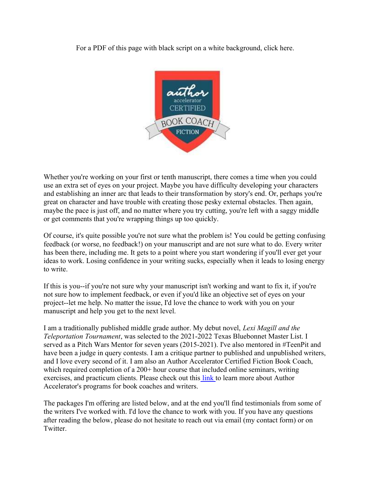For a PDF of this page with black script on a white background, click here.



Whether you're working on your first or tenth manuscript, there comes a time when you could use an extra set of eyes on your project. Maybe you have difficulty developing your characters and establishing an inner arc that leads to their transformation by story's end. Or, perhaps you're great on character and have trouble with creating those pesky external obstacles. Then again, maybe the pace is just off, and no matter where you try cutting, you're left with a saggy middle or get comments that you're wrapping things up too quickly.

Of course, it's quite possible you're not sure what the problem is! You could be getting confusing feedback (or worse, no feedback!) on your manuscript and are not sure what to do. Every writer has been there, including me. It gets to a point where you start wondering if you'll ever get your ideas to work. Losing confidence in your writing sucks, especially when it leads to losing energy to write.

If this is you--if you're not sure why your manuscript isn't working and want to fix it, if you're not sure how to implement feedback, or even if you'd like an objective set of eyes on your project--let me help. No matter the issue, I'd love the chance to work with you on your manuscript and help you get to the next level.

I am a traditionally published middle grade author. My debut novel, Lexi Magill and the Teleportation Tournament, was selected to the 2021-2022 Texas Bluebonnet Master List. I served as a Pitch Wars Mentor for seven years (2015-2021). I've also mentored in #TeenPit and have been a judge in query contests. I am a critique partner to published and unpublished writers, and I love every second of it. I am also an Author Accelerator Certified Fiction Book Coach, which required completion of a 200+ hour course that included online seminars, writing exercises, and practicum clients. Please check out this link to learn more about Author Accelerator's programs for book coaches and writers.

The packages I'm offering are listed below, and at the end you'll find testimonials from some of the writers I've worked with. I'd love the chance to work with you. If you have any questions after reading the below, please do not hesitate to reach out via email (my contact form) or on Twitter.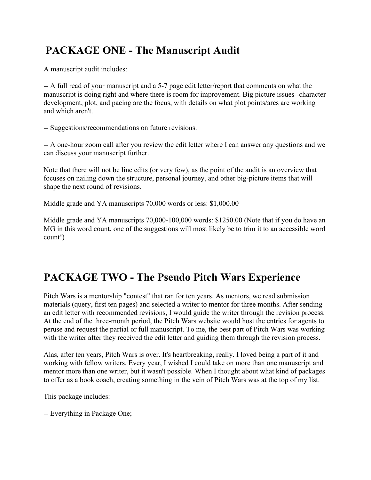### PACKAGE ONE - The Manuscript Audit

A manuscript audit includes:

-- A full read of your manuscript and a 5-7 page edit letter/report that comments on what the manuscript is doing right and where there is room for improvement. Big picture issues--character development, plot, and pacing are the focus, with details on what plot points/arcs are working and which aren't.

-- Suggestions/recommendations on future revisions.

-- A one-hour zoom call after you review the edit letter where I can answer any questions and we can discuss your manuscript further.

Note that there will not be line edits (or very few), as the point of the audit is an overview that focuses on nailing down the structure, personal journey, and other big-picture items that will shape the next round of revisions.

Middle grade and YA manuscripts 70,000 words or less: \$1,000.00

Middle grade and YA manuscripts 70,000-100,000 words: \$1250.00 (Note that if you do have an MG in this word count, one of the suggestions will most likely be to trim it to an accessible word count!)

## PACKAGE TWO - The Pseudo Pitch Wars Experience

Pitch Wars is a mentorship "contest" that ran for ten years. As mentors, we read submission materials (query, first ten pages) and selected a writer to mentor for three months. After sending an edit letter with recommended revisions, I would guide the writer through the revision process. At the end of the three-month period, the Pitch Wars website would host the entries for agents to peruse and request the partial or full manuscript. To me, the best part of Pitch Wars was working with the writer after they received the edit letter and guiding them through the revision process.

Alas, after ten years, Pitch Wars is over. It's heartbreaking, really. I loved being a part of it and working with fellow writers. Every year, I wished I could take on more than one manuscript and mentor more than one writer, but it wasn't possible. When I thought about what kind of packages to offer as a book coach, creating something in the vein of Pitch Wars was at the top of my list.

This package includes:

-- Everything in Package One;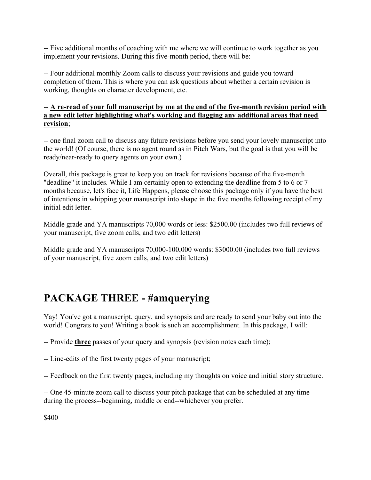-- Five additional months of coaching with me where we will continue to work together as you implement your revisions. During this five-month period, there will be:

-- Four additional monthly Zoom calls to discuss your revisions and guide you toward completion of them. This is where you can ask questions about whether a certain revision is working, thoughts on character development, etc.

#### -- A re-read of your full manuscript by me at the end of the five-month revision period with a new edit letter highlighting what's working and flagging any additional areas that need revision;

-- one final zoom call to discuss any future revisions before you send your lovely manuscript into the world! (Of course, there is no agent round as in Pitch Wars, but the goal is that you will be ready/near-ready to query agents on your own.)

Overall, this package is great to keep you on track for revisions because of the five-month "deadline" it includes. While I am certainly open to extending the deadline from 5 to 6 or 7 months because, let's face it, Life Happens, please choose this package only if you have the best of intentions in whipping your manuscript into shape in the five months following receipt of my initial edit letter.

Middle grade and YA manuscripts 70,000 words or less: \$2500.00 (includes two full reviews of your manuscript, five zoom calls, and two edit letters)

Middle grade and YA manuscripts 70,000-100,000 words: \$3000.00 (includes two full reviews of your manuscript, five zoom calls, and two edit letters)

### PACKAGE THREE - #amquerying

Yay! You've got a manuscript, query, and synopsis and are ready to send your baby out into the world! Congrats to you! Writing a book is such an accomplishment. In this package, I will:

-- Provide three passes of your query and synopsis (revision notes each time);

-- Line-edits of the first twenty pages of your manuscript;

-- Feedback on the first twenty pages, including my thoughts on voice and initial story structure.

-- One 45-minute zoom call to discuss your pitch package that can be scheduled at any time during the process--beginning, middle or end--whichever you prefer.

\$400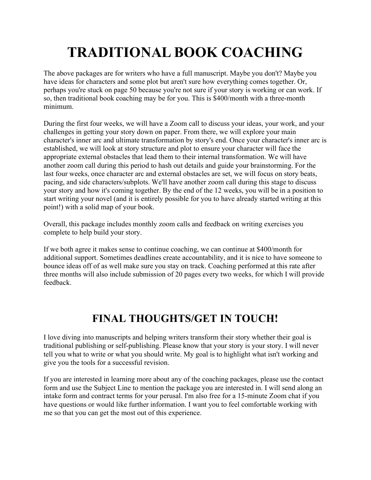# TRADITIONAL BOOK COACHING

The above packages are for writers who have a full manuscript. Maybe you don't? Maybe you have ideas for characters and some plot but aren't sure how everything comes together. Or, perhaps you're stuck on page 50 because you're not sure if your story is working or can work. If so, then traditional book coaching may be for you. This is \$400/month with a three-month minimum.

During the first four weeks, we will have a Zoom call to discuss your ideas, your work, and your challenges in getting your story down on paper. From there, we will explore your main character's inner arc and ultimate transformation by story's end. Once your character's inner arc is established, we will look at story structure and plot to ensure your character will face the appropriate external obstacles that lead them to their internal transformation. We will have another zoom call during this period to hash out details and guide your brainstorming. For the last four weeks, once character arc and external obstacles are set, we will focus on story beats, pacing, and side characters/subplots. We'll have another zoom call during this stage to discuss your story and how it's coming together. By the end of the 12 weeks, you will be in a position to start writing your novel (and it is entirely possible for you to have already started writing at this point!) with a solid map of your book.

Overall, this package includes monthly zoom calls and feedback on writing exercises you complete to help build your story.

If we both agree it makes sense to continue coaching, we can continue at \$400/month for additional support. Sometimes deadlines create accountability, and it is nice to have someone to bounce ideas off of as well make sure you stay on track. Coaching performed at this rate after three months will also include submission of 20 pages every two weeks, for which I will provide feedback.

## FINAL THOUGHTS/GET IN TOUCH!

I love diving into manuscripts and helping writers transform their story whether their goal is traditional publishing or self-publishing. Please know that your story is your story. I will never tell you what to write or what you should write. My goal is to highlight what isn't working and give you the tools for a successful revision.

If you are interested in learning more about any of the coaching packages, please use the contact form and use the Subject Line to mention the package you are interested in. I will send along an intake form and contract terms for your perusal. I'm also free for a 15-minute Zoom chat if you have questions or would like further information. I want you to feel comfortable working with me so that you can get the most out of this experience.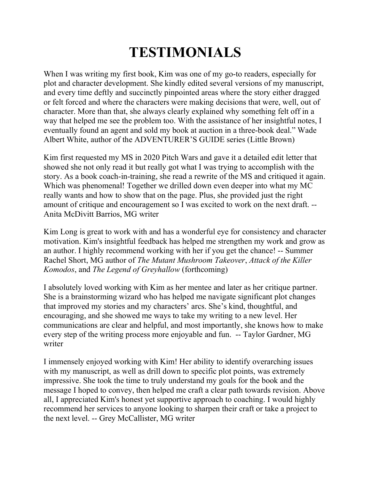# TESTIMONIALS

When I was writing my first book, Kim was one of my go-to readers, especially for plot and character development. She kindly edited several versions of my manuscript, and every time deftly and succinctly pinpointed areas where the story either dragged or felt forced and where the characters were making decisions that were, well, out of character. More than that, she always clearly explained why something felt off in a way that helped me see the problem too. With the assistance of her insightful notes, I eventually found an agent and sold my book at auction in a three-book deal." Wade Albert White, author of the ADVENTURER'S GUIDE series (Little Brown)

Kim first requested my MS in 2020 Pitch Wars and gave it a detailed edit letter that showed she not only read it but really got what I was trying to accomplish with the story. As a book coach-in-training, she read a rewrite of the MS and critiqued it again. Which was phenomenal! Together we drilled down even deeper into what my MC really wants and how to show that on the page. Plus, she provided just the right amount of critique and encouragement so I was excited to work on the next draft. -- Anita McDivitt Barrios, MG writer

Kim Long is great to work with and has a wonderful eye for consistency and character motivation. Kim's insightful feedback has helped me strengthen my work and grow as an author. I highly recommend working with her if you get the chance! -- Summer Rachel Short, MG author of The Mutant Mushroom Takeover, Attack of the Killer Komodos, and The Legend of Greyhallow (forthcoming)

I absolutely loved working with Kim as her mentee and later as her critique partner. She is a brainstorming wizard who has helped me navigate significant plot changes that improved my stories and my characters' arcs. She's kind, thoughtful, and encouraging, and she showed me ways to take my writing to a new level. Her communications are clear and helpful, and most importantly, she knows how to make every step of the writing process more enjoyable and fun. -- Taylor Gardner, MG writer

I immensely enjoyed working with Kim! Her ability to identify overarching issues with my manuscript, as well as drill down to specific plot points, was extremely impressive. She took the time to truly understand my goals for the book and the message I hoped to convey, then helped me craft a clear path towards revision. Above all, I appreciated Kim's honest yet supportive approach to coaching. I would highly recommend her services to anyone looking to sharpen their craft or take a project to the next level. -- Grey McCallister, MG writer